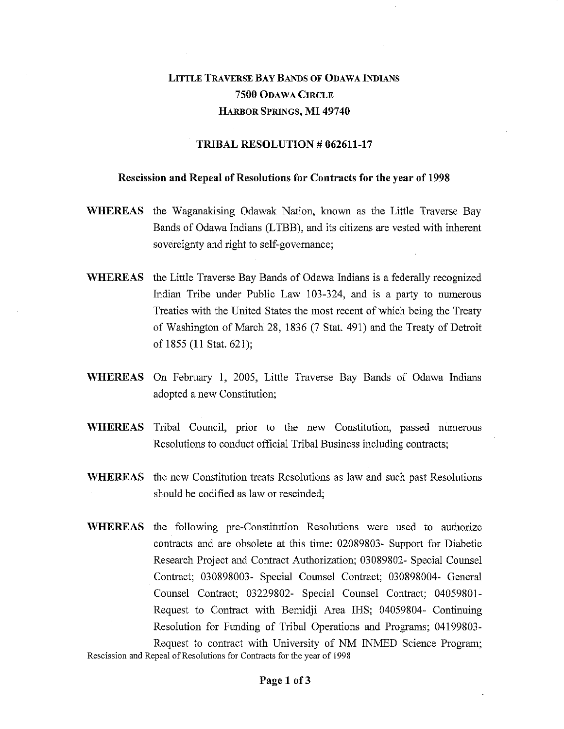## LITTLE TRAVERSE BAY BANDS OF ODAWA INDIANS **7500** ODAWA CIRCLE HARBOR SPRINGS, MI **49740**

## **TRIBAL RESOLUTION # 062611-17**

## **Rescission and Repeal of Resolutions for Contracts for the year of 1998**

- **WHEREAS** the Waganakising Odawak Nation, known as the Little Traverse Bay Bands of Odawa Indians (LTBB), and its citizens are vested with inherent sovereignty and right to self-governance;
- **WHEREAS** the Little Traverse Bay Bands of Odawa Indians is a federally recognized Indian Tribe under Public Law 103-324, and is a party to numerous Treaties with the United States the most recent of which being the Treaty of Washington of March 28, 1836 (7 Stat. 491) and the Treaty of Detroit of 1855 **(11** Stat. 621);
- **WHEREAS** On February 1, 2005, Little Traverse Bay Bands of Odawa Indians adopted a new Constitution;
- **WHEREAS** Tribal Council, prior to the new Constitution, passed numerous Resolutions to conduct official Tribal Business including contracts;
- **WHEREAS** the new Constitution treats Resolutions as law and such past Resolutions should be codified as law or rescinded;
- **WHEREAS** the following pre-Constitution Resolutions were used to authorize contracts and are obsolete at this time: 02089803- Support for Diabetic Research Project and Contract Authorization; 03089802- Special Counsel Contract; 030898003- Special Counsel Contract; 030898004- General Counsel Contract; 03229802- Special Counsel Contract; 04059801- Request to Contract with Bemidji Area IHS; 04059804- Continuing Resolution for Funding of Tribal Operations and Programs; 04199803- Request to contract with University of NM INMED Science Program;

Rescission and Repeal of Resolutions for Contracts for the year of 1998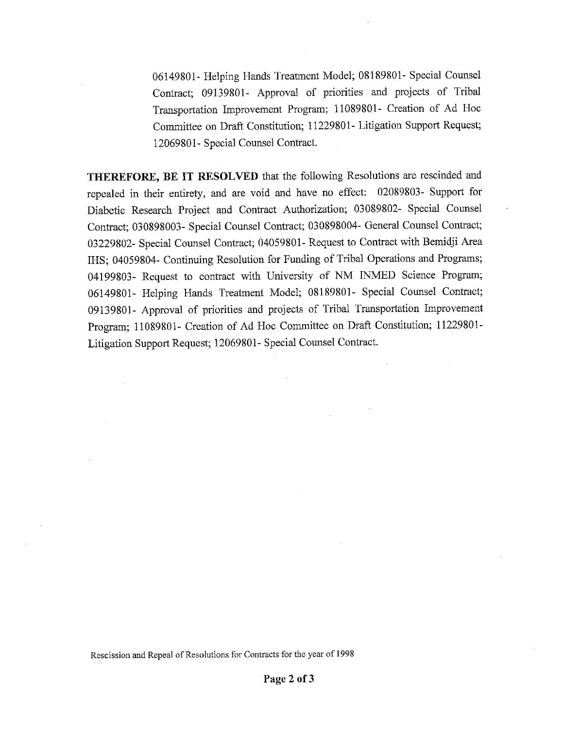06149801- Helping Hands Treatment Model; 08189801- Special Counsel Contract; 09139801- Approval of priorities and projects of Tribal Transportation Improvement Program; 11089801- Creation of Ad Hoc Committee on Draft Constitution; 11229801- Litigation Support Request; 12069801- Special Counsel Contract.

THEREFORE, BE IT RESOLVED that the following Resolutions are rescinded and repealed in their entirety, and are void and have no effect: 02089803- Support for Diabetic Research Project and Contract Authorization; 03089802- Special Counsel Contract; 030898003- Special Counsel Contract; 030898004- General Counsel Contract; 03229802- Special Counsel Contract; 04059801- Request to Contract with Bemidji Area IHS; 04059804- Continuing Resolution for Funding of Tribal Operations and Programs; 04199803- Request to contract with University of NM INMED Science Program; 06149801- Helping Hands Treatment Model; 08189801- Special Counsel Contract; 09139801- Approval of priorities and projects of Tribal Transportation Improvement Program; 11089801- Creation of Ad Hoc Committee on Draft Constitution; 11229801- Litigation Support Request; 12069801- Special Counsel Contract.